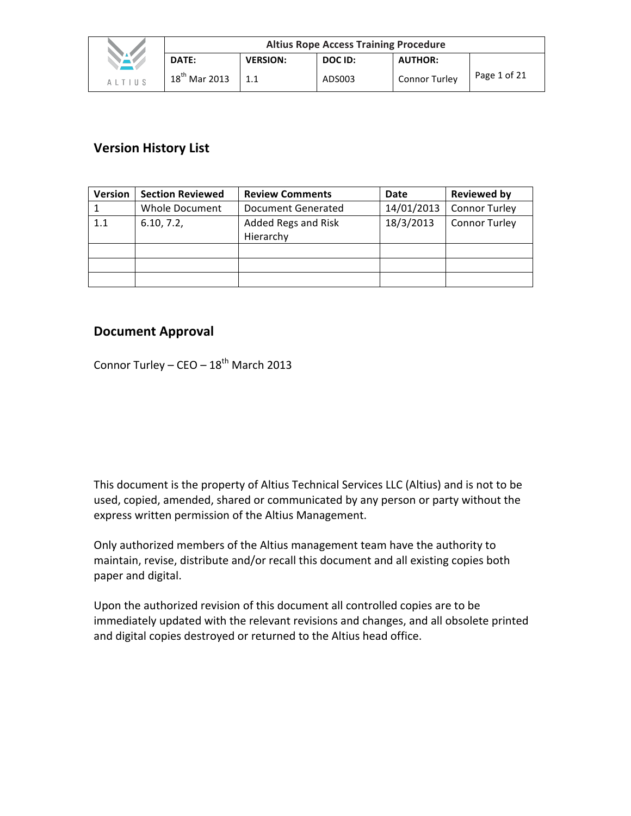|              | <b>Altius Rope Access Training Procedure</b> |                 |         |                      |              |  |  |
|--------------|----------------------------------------------|-----------------|---------|----------------------|--------------|--|--|
| $\mathbf{A}$ | DATE:                                        | <b>VERSION:</b> | DOC ID: | <b>AUTHOR:</b>       |              |  |  |
| ALTIUS       | $18^{th}$ Mar 2013                           |                 | ADS003  | <b>Connor Turley</b> | Page 1 of 21 |  |  |

# **Version History List**

| <b>Version</b> | <b>Section Reviewed</b> | <b>Review Comments</b> | Date       | Reviewed by          |
|----------------|-------------------------|------------------------|------------|----------------------|
|                | <b>Whole Document</b>   | Document Generated     | 14/01/2013 | <b>Connor Turley</b> |
| 1.1            | 6.10, 7.2,              | Added Regs and Risk    | 18/3/2013  | <b>Connor Turley</b> |
|                |                         | Hierarchy              |            |                      |
|                |                         |                        |            |                      |
|                |                         |                        |            |                      |
|                |                         |                        |            |                      |

# **Document Approval**

Connor Turley –  $CEO - 18^{th}$  March 2013

This document is the property of Altius Technical Services LLC (Altius) and is not to be used, copied, amended, shared or communicated by any person or party without the express written permission of the Altius Management.

Only authorized members of the Altius management team have the authority to maintain, revise, distribute and/or recall this document and all existing copies both paper and digital.

Upon the authorized revision of this document all controlled copies are to be immediately updated with the relevant revisions and changes, and all obsolete printed and digital copies destroyed or returned to the Altius head office.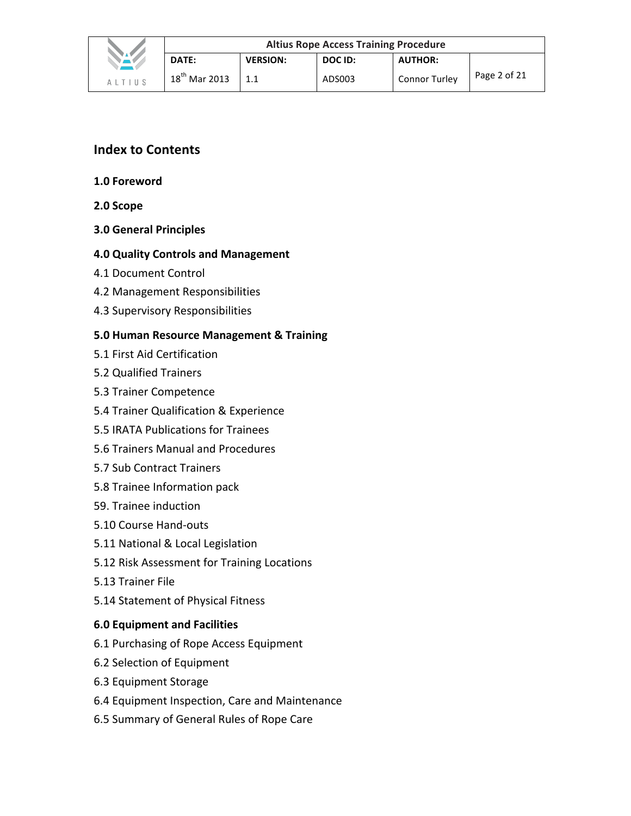

1.1 

**AUTHOR:**

Connor Turley  $\vert$  Page 2 of 21

- **1.0 Foreword**
- **2.0 Scope**
- **3.0 General Principles**

# **4.0 Quality Controls and Management**

- 4.1 Document Control
- 4.2 Management Responsibilities
- 4.3 Supervisory Responsibilities

# **5.0 Human Resource Management & Training**

- 5.1 First Aid Certification
- 5.2 Qualified Trainers
- 5.3 Trainer Competence
- 5.4 Trainer Qualification & Experience
- 5.5 IRATA Publications for Trainees
- 5.6 Trainers Manual and Procedures
- 5.7 Sub Contract Trainers
- 5.8 Trainee Information pack
- 59. Trainee induction
- 5.10 Course Hand-outs
- 5.11 National & Local Legislation
- 5.12 Risk Assessment for Training Locations
- 5.13 Trainer File
- 5.14 Statement of Physical Fitness

# **6.0 Equipment and Facilities**

- 6.1 Purchasing of Rope Access Equipment
- 6.2 Selection of Equipment
- 6.3 Equipment Storage
- 6.4 Equipment Inspection, Care and Maintenance
- 6.5 Summary of General Rules of Rope Care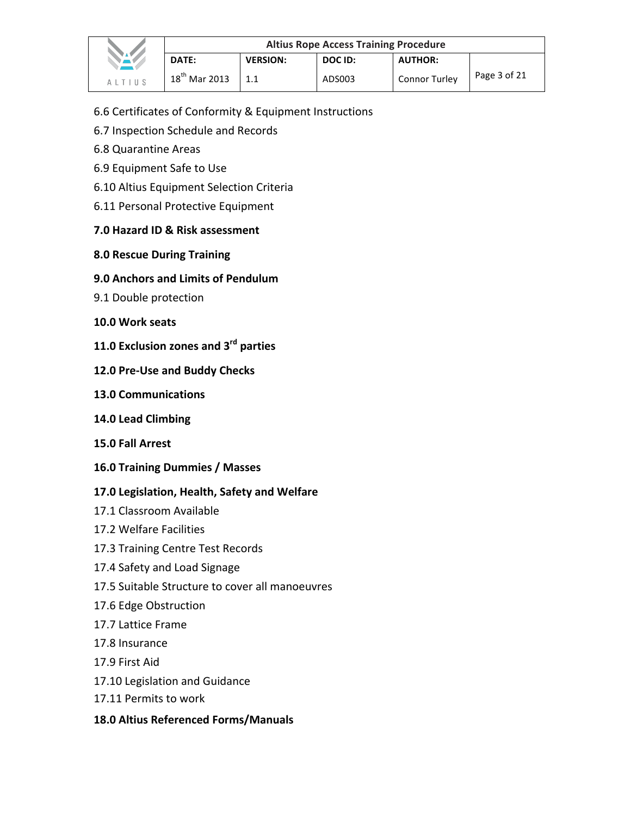|                                         | <b>Altius Rope Access Training Procedure</b> |                 |         |                      |              |  |  |
|-----------------------------------------|----------------------------------------------|-----------------|---------|----------------------|--------------|--|--|
| <b>TALA</b>                             | DATE:                                        | <b>VERSION:</b> | DOC ID: | <b>AUTHOR:</b>       |              |  |  |
| $A$ $\perp$ $T$ $\perp$ $\parallel$ $S$ | $18^{th}$ Mar 2013                           |                 | ADS003  | <b>Connor Turley</b> | Page 3 of 21 |  |  |

- 6.6 Certificates of Conformity & Equipment Instructions
- 6.7 Inspection Schedule and Records
- 6.8 Quarantine Areas
- 6.9 Equipment Safe to Use
- 6.10 Altius Equipment Selection Criteria
- 6.11 Personal Protective Equipment

# **7.0 Hazard ID & Risk assessment**

# **8.0 Rescue During Training**

# **9.0 Anchors and Limits of Pendulum**

- 9.1 Double protection
- **10.0 Work seats**
- **11.0 Exclusion zones and 3<sup>rd</sup> parties**
- **12.0 Pre-Use and Buddy Checks**
- **13.0 Communications**
- **14.0 Lead Climbing**
- **15.0 Fall Arrest**
- **16.0 Training Dummies / Masses**

# 17.0 Legislation, Health, Safety and Welfare

- 17.1 Classroom Available
- 17.2 Welfare Facilities
- 17.3 Training Centre Test Records
- 17.4 Safety and Load Signage
- 17.5 Suitable Structure to cover all manoeuvres
- 17.6 Edge Obstruction
- 17.7 Lattice Frame
- 17.8 Insurance
- 17.9 First Aid
- 17.10 Legislation and Guidance
- 17.11 Permits to work

## **18.0 Altius Referenced Forms/Manuals**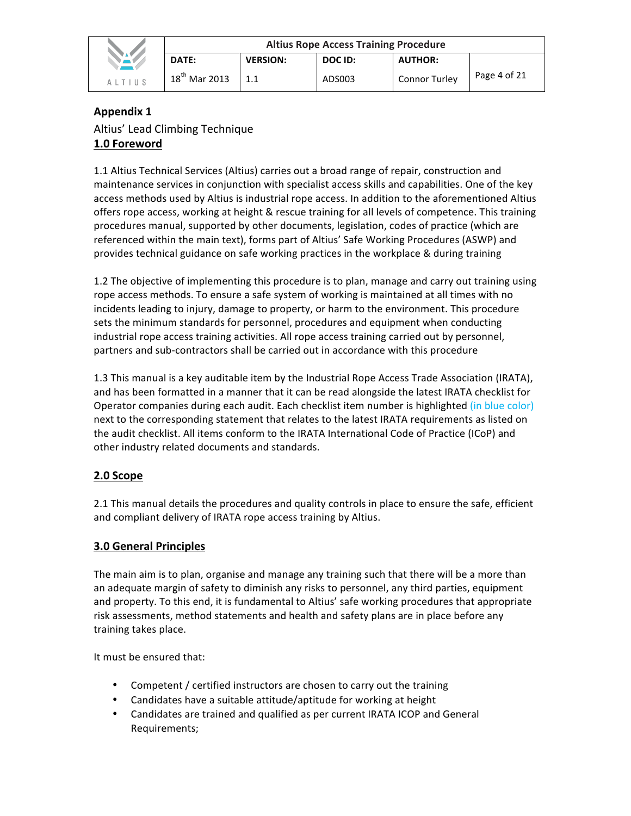|                            | <b>Altius Rope Access Training Procedure</b> |                 |         |                      |              |  |  |
|----------------------------|----------------------------------------------|-----------------|---------|----------------------|--------------|--|--|
|                            | <b>DATE:</b>                                 | <b>VERSION:</b> | DOC ID: | <b>AUTHOR:</b>       |              |  |  |
| $\Delta$   T   II $\Omega$ | $18^{th}$ Mar 2013                           |                 | ADS003  | <b>Connor Turley</b> | Page 4 of 21 |  |  |

# **Appendix 1** Altius' Lead Climbing Technique **1.0 Foreword**

1.1 Altius Technical Services (Altius) carries out a broad range of repair, construction and maintenance services in conjunction with specialist access skills and capabilities. One of the key access methods used by Altius is industrial rope access. In addition to the aforementioned Altius offers rope access, working at height & rescue training for all levels of competence. This training procedures manual, supported by other documents, legislation, codes of practice (which are referenced within the main text), forms part of Altius' Safe Working Procedures (ASWP) and provides technical guidance on safe working practices in the workplace & during training

1.2 The objective of implementing this procedure is to plan, manage and carry out training using rope access methods. To ensure a safe system of working is maintained at all times with no incidents leading to injury, damage to property, or harm to the environment. This procedure sets the minimum standards for personnel, procedures and equipment when conducting industrial rope access training activities. All rope access training carried out by personnel, partners and sub-contractors shall be carried out in accordance with this procedure

1.3 This manual is a key auditable item by the Industrial Rope Access Trade Association (IRATA), and has been formatted in a manner that it can be read alongside the latest IRATA checklist for Operator companies during each audit. Each checklist item number is highlighted (in blue color) next to the corresponding statement that relates to the latest IRATA requirements as listed on the audit checklist. All items conform to the IRATA International Code of Practice (ICoP) and other industry related documents and standards.

# **2.0 Scope**

2.1 This manual details the procedures and quality controls in place to ensure the safe, efficient and compliant delivery of IRATA rope access training by Altius.

# **3.0 General Principles**

The main aim is to plan, organise and manage any training such that there will be a more than an adequate margin of safety to diminish any risks to personnel, any third parties, equipment and property. To this end, it is fundamental to Altius' safe working procedures that appropriate risk assessments, method statements and health and safety plans are in place before any training takes place.

It must be ensured that:

- Competent / certified instructors are chosen to carry out the training
- Candidates have a suitable attitude/aptitude for working at height
- Candidates are trained and qualified as per current IRATA ICOP and General Requirements;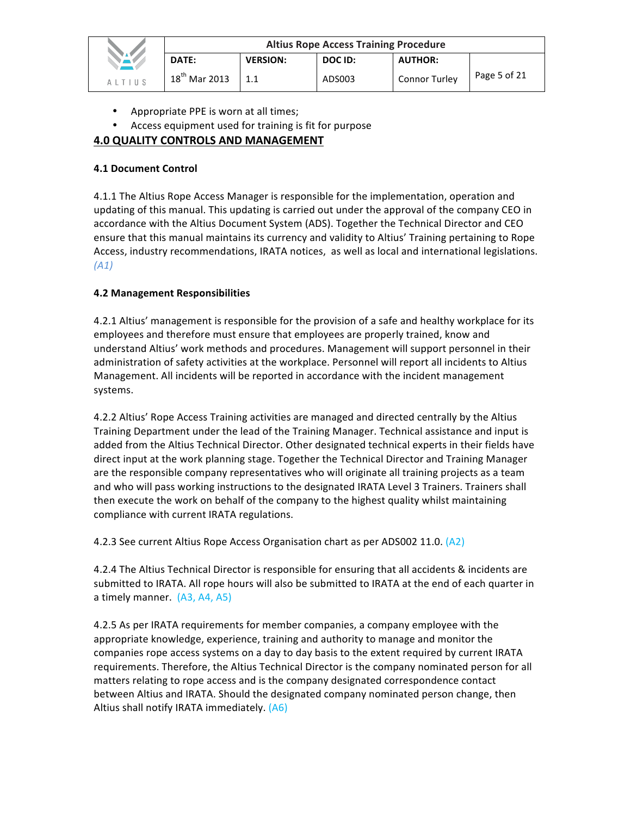|               | <b>Altius Rope Access Training Procedure</b> |                 |         |                      |              |  |  |
|---------------|----------------------------------------------|-----------------|---------|----------------------|--------------|--|--|
| VAV           | DATE:                                        | <b>VERSION:</b> | DOC ID: | <b>AUTHOR:</b>       |              |  |  |
| <b>ALTIUS</b> | $18^{th}$ Mar 2013                           | 1.1             | ADS003  | <b>Connor Turley</b> | Page 5 of 21 |  |  |

- Appropriate PPE is worn at all times;
- Access equipment used for training is fit for purpose

# **4.0 QUALITY CONTROLS AND MANAGEMENT**

#### **4.1 Document Control**

4.1.1 The Altius Rope Access Manager is responsible for the implementation, operation and updating of this manual. This updating is carried out under the approval of the company CEO in accordance with the Altius Document System (ADS). Together the Technical Director and CEO ensure that this manual maintains its currency and validity to Altius' Training pertaining to Rope Access, industry recommendations, IRATA notices, as well as local and international legislations. *(A1)*

#### **4.2 Management Responsibilities**

4.2.1 Altius' management is responsible for the provision of a safe and healthy workplace for its employees and therefore must ensure that employees are properly trained, know and understand Altius' work methods and procedures. Management will support personnel in their administration of safety activities at the workplace. Personnel will report all incidents to Altius Management. All incidents will be reported in accordance with the incident management systems.

4.2.2 Altius' Rope Access Training activities are managed and directed centrally by the Altius Training Department under the lead of the Training Manager. Technical assistance and input is added from the Altius Technical Director. Other designated technical experts in their fields have direct input at the work planning stage. Together the Technical Director and Training Manager are the responsible company representatives who will originate all training projects as a team and who will pass working instructions to the designated IRATA Level 3 Trainers. Trainers shall then execute the work on behalf of the company to the highest quality whilst maintaining compliance with current IRATA regulations.

4.2.3 See current Altius Rope Access Organisation chart as per ADS002 11.0. (A2)

4.2.4 The Altius Technical Director is responsible for ensuring that all accidents & incidents are submitted to IRATA. All rope hours will also be submitted to IRATA at the end of each quarter in a timely manner.  $(A3, A4, A5)$ 

4.2.5 As per IRATA requirements for member companies, a company employee with the appropriate knowledge, experience, training and authority to manage and monitor the companies rope access systems on a day to day basis to the extent required by current IRATA requirements. Therefore, the Altius Technical Director is the company nominated person for all matters relating to rope access and is the company designated correspondence contact between Altius and IRATA. Should the designated company nominated person change, then Altius shall notify IRATA immediately. (A6)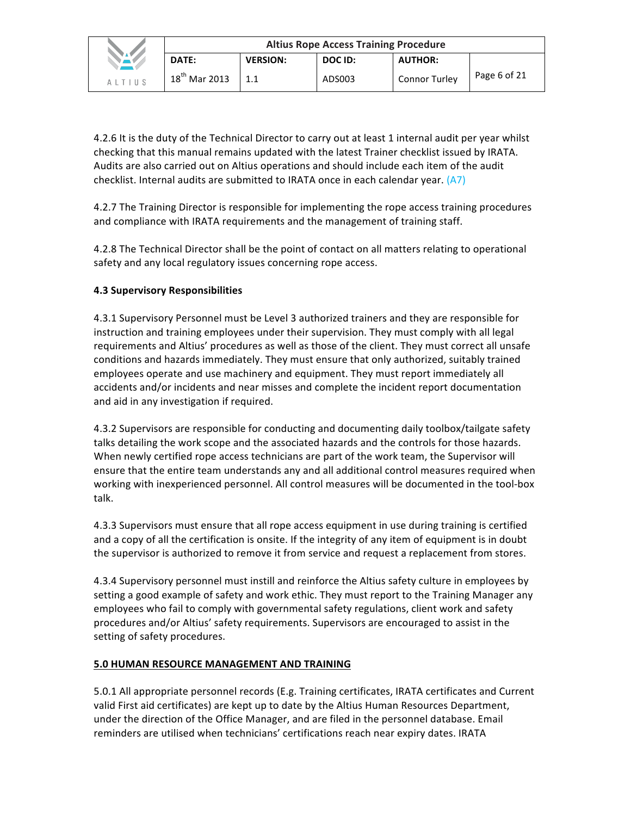|        | <b>Altius Rope Access Training Procedure</b> |                 |         |                      |              |  |  |
|--------|----------------------------------------------|-----------------|---------|----------------------|--------------|--|--|
|        | DATE:                                        | <b>VERSION:</b> | DOC ID: | <b>AUTHOR:</b>       |              |  |  |
| AITIUS | $18^{th}$ Mar 2013                           | 1.1             | ADS003  | <b>Connor Turley</b> | Page 6 of 21 |  |  |

4.2.6 It is the duty of the Technical Director to carry out at least 1 internal audit per year whilst checking that this manual remains updated with the latest Trainer checklist issued by IRATA. Audits are also carried out on Altius operations and should include each item of the audit checklist. Internal audits are submitted to IRATA once in each calendar year.  $(A7)$ 

4.2.7 The Training Director is responsible for implementing the rope access training procedures and compliance with IRATA requirements and the management of training staff.

4.2.8 The Technical Director shall be the point of contact on all matters relating to operational safety and any local regulatory issues concerning rope access.

## **4.3 Supervisory Responsibilities**

4.3.1 Supervisory Personnel must be Level 3 authorized trainers and they are responsible for instruction and training employees under their supervision. They must comply with all legal requirements and Altius' procedures as well as those of the client. They must correct all unsafe conditions and hazards immediately. They must ensure that only authorized, suitably trained employees operate and use machinery and equipment. They must report immediately all accidents and/or incidents and near misses and complete the incident report documentation and aid in any investigation if required.

4.3.2 Supervisors are responsible for conducting and documenting daily toolbox/tailgate safety talks detailing the work scope and the associated hazards and the controls for those hazards. When newly certified rope access technicians are part of the work team, the Supervisor will ensure that the entire team understands any and all additional control measures required when working with inexperienced personnel. All control measures will be documented in the tool-box talk.

4.3.3 Supervisors must ensure that all rope access equipment in use during training is certified and a copy of all the certification is onsite. If the integrity of any item of equipment is in doubt the supervisor is authorized to remove it from service and request a replacement from stores.

4.3.4 Supervisory personnel must instill and reinforce the Altius safety culture in employees by setting a good example of safety and work ethic. They must report to the Training Manager any employees who fail to comply with governmental safety regulations, client work and safety procedures and/or Altius' safety requirements. Supervisors are encouraged to assist in the setting of safety procedures.

#### **5.0 HUMAN RESOURCE MANAGEMENT AND TRAINING**

5.0.1 All appropriate personnel records (E.g. Training certificates, IRATA certificates and Current valid First aid certificates) are kept up to date by the Altius Human Resources Department, under the direction of the Office Manager, and are filed in the personnel database. Email reminders are utilised when technicians' certifications reach near expiry dates. IRATA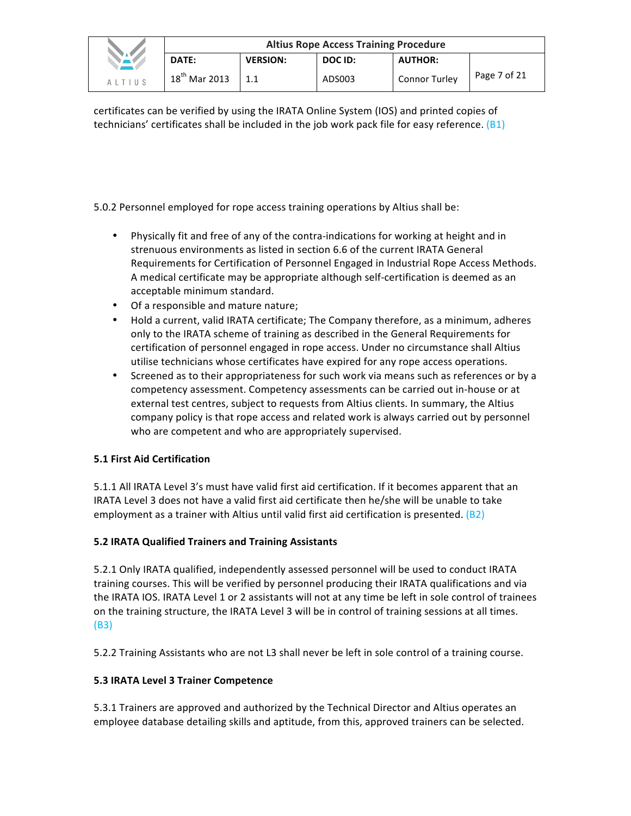|             | <b>Altius Rope Access Training Procedure</b> |                 |         |                      |              |  |  |
|-------------|----------------------------------------------|-----------------|---------|----------------------|--------------|--|--|
| <b>NAME</b> | DATE:                                        | <b>VERSION:</b> | DOC ID: | <b>AUTHOR:</b>       |              |  |  |
| ALTIUS      | $18^{th}$ Mar 2013                           | 1.1             | ADS003  | <b>Connor Turley</b> | Page 7 of 21 |  |  |

certificates can be verified by using the IRATA Online System (IOS) and printed copies of technicians' certificates shall be included in the job work pack file for easy reference.  $(B1)$ 

5.0.2 Personnel employed for rope access training operations by Altius shall be:

- Physically fit and free of any of the contra-indications for working at height and in strenuous environments as listed in section 6.6 of the current IRATA General Requirements for Certification of Personnel Engaged in Industrial Rope Access Methods. A medical certificate may be appropriate although self-certification is deemed as an acceptable minimum standard.
- Of a responsible and mature nature;
- Hold a current, valid IRATA certificate; The Company therefore, as a minimum, adheres only to the IRATA scheme of training as described in the General Requirements for certification of personnel engaged in rope access. Under no circumstance shall Altius utilise technicians whose certificates have expired for any rope access operations.
- Screened as to their appropriateness for such work via means such as references or by a competency assessment. Competency assessments can be carried out in-house or at external test centres, subject to requests from Altius clients. In summary, the Altius company policy is that rope access and related work is always carried out by personnel who are competent and who are appropriately supervised.

# **5.1 First Aid Certification**

5.1.1 All IRATA Level 3's must have valid first aid certification. If it becomes apparent that an IRATA Level 3 does not have a valid first aid certificate then he/she will be unable to take employment as a trainer with Altius until valid first aid certification is presented.  $(B2)$ 

# **5.2 IRATA Qualified Trainers and Training Assistants**

5.2.1 Only IRATA qualified, independently assessed personnel will be used to conduct IRATA training courses. This will be verified by personnel producing their IRATA qualifications and via the IRATA IOS. IRATA Level 1 or 2 assistants will not at any time be left in sole control of trainees on the training structure, the IRATA Level 3 will be in control of training sessions at all times. (B3)

5.2.2 Training Assistants who are not L3 shall never be left in sole control of a training course.

# **5.3 IRATA Level 3 Trainer Competence**

5.3.1 Trainers are approved and authorized by the Technical Director and Altius operates an employee database detailing skills and aptitude, from this, approved trainers can be selected.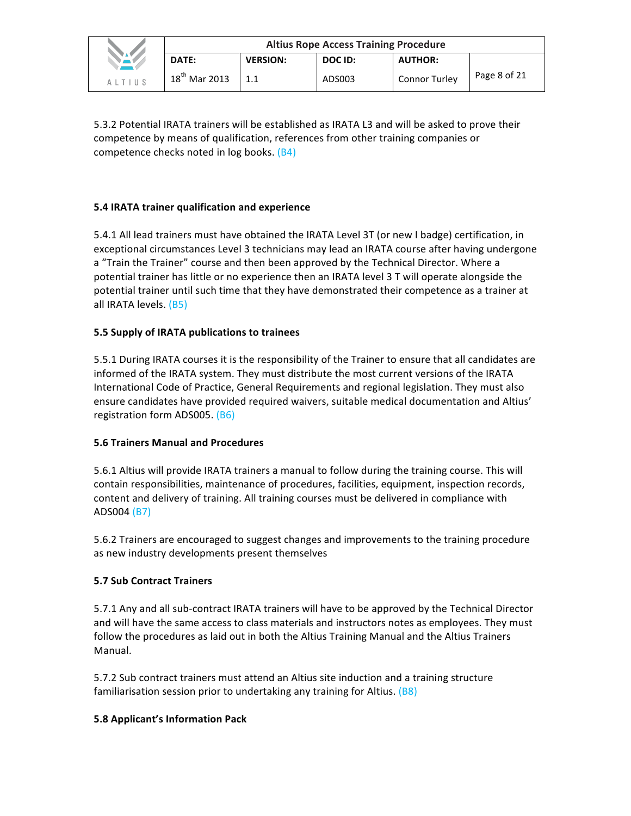|               | <b>Altius Rope Access Training Procedure</b> |                 |         |                      |              |  |  |
|---------------|----------------------------------------------|-----------------|---------|----------------------|--------------|--|--|
| VAV           | DATE:                                        | <b>VERSION:</b> | DOC ID: | <b>AUTHOR:</b>       |              |  |  |
| <b>ALTIUS</b> | $18^{th}$ Mar 2013                           |                 | ADS003  | <b>Connor Turley</b> | Page 8 of 21 |  |  |

5.3.2 Potential IRATA trainers will be established as IRATA L3 and will be asked to prove their competence by means of qualification, references from other training companies or competence checks noted in log books. (B4)

## **5.4 IRATA trainer qualification and experience**

5.4.1 All lead trainers must have obtained the IRATA Level 3T (or new I badge) certification, in exceptional circumstances Level 3 technicians may lead an IRATA course after having undergone a "Train the Trainer" course and then been approved by the Technical Director. Where a potential trainer has little or no experience then an IRATA level 3 T will operate alongside the potential trainer until such time that they have demonstrated their competence as a trainer at all IRATA levels. (B5)

#### **5.5 Supply of IRATA publications to trainees**

5.5.1 During IRATA courses it is the responsibility of the Trainer to ensure that all candidates are informed of the IRATA system. They must distribute the most current versions of the IRATA International Code of Practice, General Requirements and regional legislation. They must also ensure candidates have provided required waivers, suitable medical documentation and Altius' registration form ADS005. (B6)

#### **5.6 Trainers Manual and Procedures**

5.6.1 Altius will provide IRATA trainers a manual to follow during the training course. This will contain responsibilities, maintenance of procedures, facilities, equipment, inspection records, content and delivery of training. All training courses must be delivered in compliance with ADS004 (B7)

5.6.2 Trainers are encouraged to suggest changes and improvements to the training procedure as new industry developments present themselves

#### **5.7 Sub Contract Trainers**

5.7.1 Any and all sub-contract IRATA trainers will have to be approved by the Technical Director and will have the same access to class materials and instructors notes as employees. They must follow the procedures as laid out in both the Altius Training Manual and the Altius Trainers Manual.

5.7.2 Sub contract trainers must attend an Altius site induction and a training structure familiarisation session prior to undertaking any training for Altius.  $(B8)$ 

#### **5.8 Applicant's Information Pack**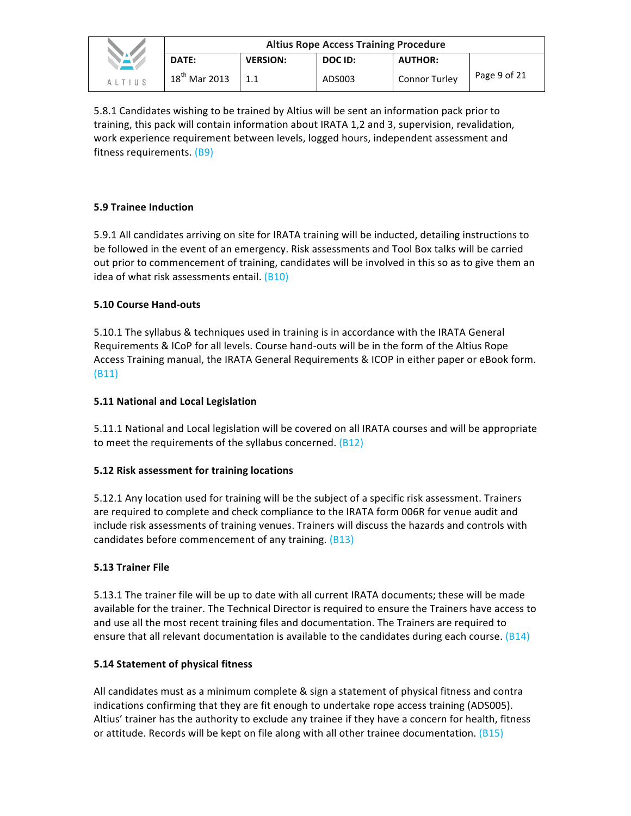|               | <b>Altius Rope Access Training Procedure</b> |                 |         |                      |              |  |  |
|---------------|----------------------------------------------|-----------------|---------|----------------------|--------------|--|--|
| <b>NAME</b>   | DATE:                                        | <b>VERSION:</b> | DOC ID: | <b>AUTHOR:</b>       |              |  |  |
| <b>ALTIUS</b> | $18th$ Mar 2013                              | 1.1             | ADS003  | <b>Connor Turley</b> | Page 9 of 21 |  |  |

5.8.1 Candidates wishing to be trained by Altius will be sent an information pack prior to training, this pack will contain information about IRATA 1,2 and 3, supervision, revalidation, work experience requirement between levels, logged hours, independent assessment and fitness requirements. (B9)

## **5.9 Trainee Induction**

5.9.1 All candidates arriving on site for IRATA training will be inducted, detailing instructions to be followed in the event of an emergency. Risk assessments and Tool Box talks will be carried out prior to commencement of training, candidates will be involved in this so as to give them an idea of what risk assessments entail.  $(B10)$ 

## **5.10 Course Hand-outs**

5.10.1 The syllabus & techniques used in training is in accordance with the IRATA General Requirements & ICoP for all levels. Course hand-outs will be in the form of the Altius Rope Access Training manual, the IRATA General Requirements & ICOP in either paper or eBook form. (B11)

#### **5.11 National and Local Legislation**

5.11.1 National and Local legislation will be covered on all IRATA courses and will be appropriate to meet the requirements of the syllabus concerned.  $(B12)$ 

## **5.12 Risk assessment for training locations**

5.12.1 Any location used for training will be the subject of a specific risk assessment. Trainers are required to complete and check compliance to the IRATA form 006R for venue audit and include risk assessments of training venues. Trainers will discuss the hazards and controls with candidates before commencement of any training. (B13)

#### **5.13 Trainer File**

5.13.1 The trainer file will be up to date with all current IRATA documents; these will be made available for the trainer. The Technical Director is required to ensure the Trainers have access to and use all the most recent training files and documentation. The Trainers are required to ensure that all relevant documentation is available to the candidates during each course.  $(B14)$ 

#### **5.14 Statement of physical fitness**

All candidates must as a minimum complete & sign a statement of physical fitness and contra indications confirming that they are fit enough to undertake rope access training (ADS005). Altius' trainer has the authority to exclude any trainee if they have a concern for health, fitness or attitude. Records will be kept on file along with all other trainee documentation.  $(B15)$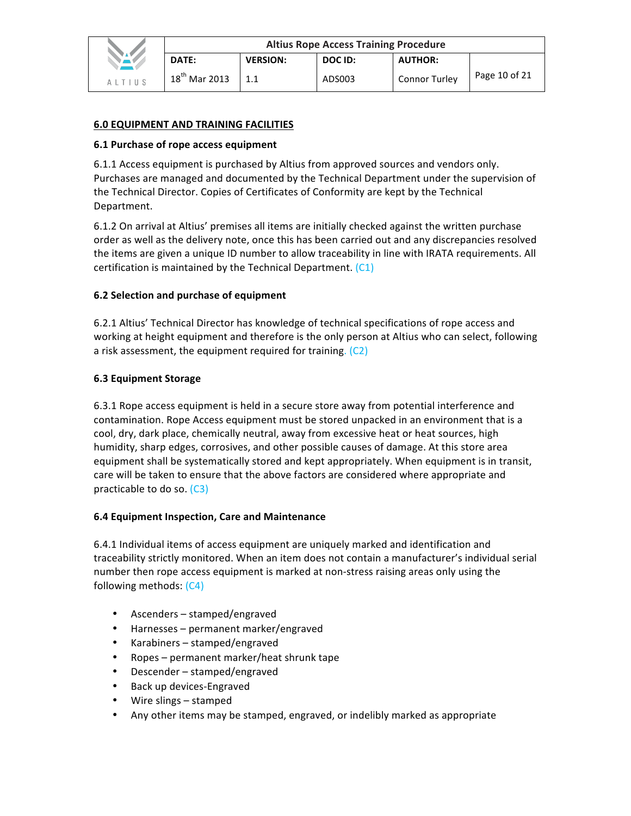#### **6.0 EQUIPMENT AND TRAINING FACILITIES**

#### **6.1 Purchase of rope access equipment**

6.1.1 Access equipment is purchased by Altius from approved sources and vendors only. Purchases are managed and documented by the Technical Department under the supervision of the Technical Director. Copies of Certificates of Conformity are kept by the Technical Department.

6.1.2 On arrival at Altius' premises all items are initially checked against the written purchase order as well as the delivery note, once this has been carried out and any discrepancies resolved the items are given a unique ID number to allow traceability in line with IRATA requirements. All certification is maintained by the Technical Department.  $(C1)$ 

#### **6.2 Selection and purchase of equipment**

6.2.1 Altius' Technical Director has knowledge of technical specifications of rope access and working at height equipment and therefore is the only person at Altius who can select, following a risk assessment, the equipment required for training.  $(C2)$ 

#### **6.3 Equipment Storage**

6.3.1 Rope access equipment is held in a secure store away from potential interference and contamination. Rope Access equipment must be stored unpacked in an environment that is a cool, dry, dark place, chemically neutral, away from excessive heat or heat sources, high humidity, sharp edges, corrosives, and other possible causes of damage. At this store area equipment shall be systematically stored and kept appropriately. When equipment is in transit, care will be taken to ensure that the above factors are considered where appropriate and practicable to do so.  $(C3)$ 

#### **6.4 Equipment Inspection, Care and Maintenance**

6.4.1 Individual items of access equipment are uniquely marked and identification and traceability strictly monitored. When an item does not contain a manufacturer's individual serial number then rope access equipment is marked at non-stress raising areas only using the following methods:  $(C4)$ 

- Ascenders stamped/engraved
- Harnesses permanent marker/engraved
- Karabiners stamped/engraved
- Ropes permanent marker/heat shrunk tape
- Descender stamped/engraved
- Back up devices-Engraved
- Wire slings stamped
- Any other items may be stamped, engraved, or indelibly marked as appropriate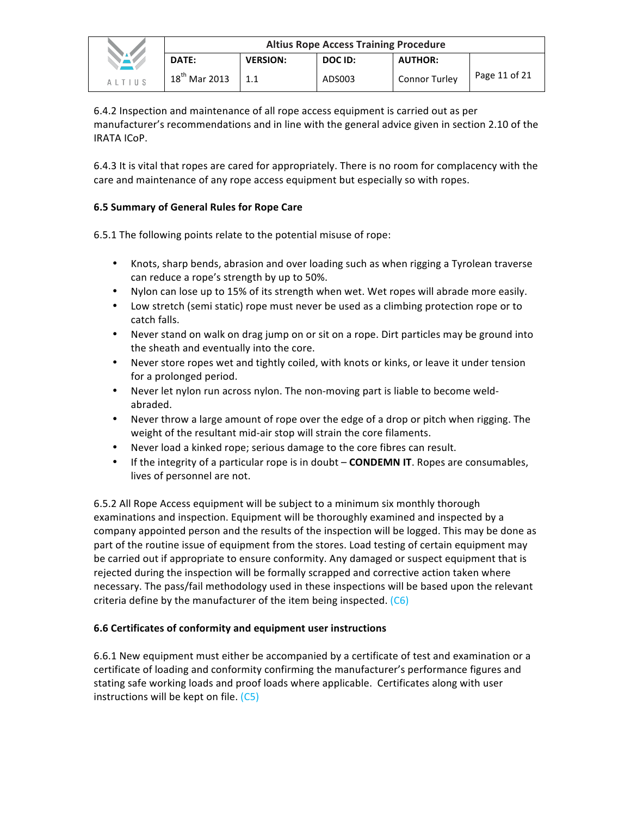|        | <b>Altius Rope Access Training Procedure</b> |                 |         |                      |               |  |  |
|--------|----------------------------------------------|-----------------|---------|----------------------|---------------|--|--|
|        | DATE:                                        | <b>VERSION:</b> | DOC ID: | <b>AUTHOR:</b>       |               |  |  |
| AITIIS | $18^{th}$ Mar 2013                           | 1.1             | ADS003  | <b>Connor Turley</b> | Page 11 of 21 |  |  |

6.4.2 Inspection and maintenance of all rope access equipment is carried out as per manufacturer's recommendations and in line with the general advice given in section 2.10 of the IRATA ICoP.

6.4.3 It is vital that ropes are cared for appropriately. There is no room for complacency with the care and maintenance of any rope access equipment but especially so with ropes.

## **6.5 Summary of General Rules for Rope Care**

6.5.1 The following points relate to the potential misuse of rope:

- Knots, sharp bends, abrasion and over loading such as when rigging a Tyrolean traverse can reduce a rope's strength by up to 50%.
- Nylon can lose up to 15% of its strength when wet. Wet ropes will abrade more easily.
- Low stretch (semi static) rope must never be used as a climbing protection rope or to catch falls.
- Never stand on walk on drag jump on or sit on a rope. Dirt particles may be ground into the sheath and eventually into the core.
- Never store ropes wet and tightly coiled, with knots or kinks, or leave it under tension for a prolonged period.
- Never let nylon run across nylon. The non-moving part is liable to become weldabraded.
- Never throw a large amount of rope over the edge of a drop or pitch when rigging. The weight of the resultant mid-air stop will strain the core filaments.
- Never load a kinked rope; serious damage to the core fibres can result.
- If the integrity of a particular rope is in doubt **CONDEMN IT**. Ropes are consumables, lives of personnel are not.

6.5.2 All Rope Access equipment will be subject to a minimum six monthly thorough examinations and inspection. Equipment will be thoroughly examined and inspected by a company appointed person and the results of the inspection will be logged. This may be done as part of the routine issue of equipment from the stores. Load testing of certain equipment may be carried out if appropriate to ensure conformity. Any damaged or suspect equipment that is rejected during the inspection will be formally scrapped and corrective action taken where necessary. The pass/fail methodology used in these inspections will be based upon the relevant criteria define by the manufacturer of the item being inspected.  $(C6)$ 

## **6.6 Certificates of conformity and equipment user instructions**

6.6.1 New equipment must either be accompanied by a certificate of test and examination or a certificate of loading and conformity confirming the manufacturer's performance figures and stating safe working loads and proof loads where applicable. Certificates along with user instructions will be kept on file.  $(C5)$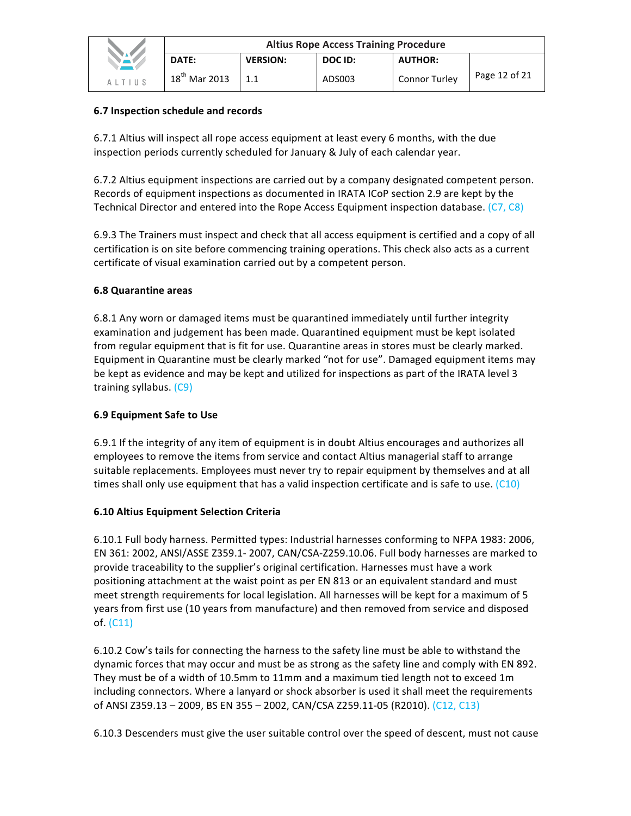|               | <b>Altius Rope Access Training Procedure</b> |                 |         |                      |               |  |  |
|---------------|----------------------------------------------|-----------------|---------|----------------------|---------------|--|--|
|               | <b>DATE:</b>                                 | <b>VERSION:</b> | DOC ID: | <b>AUTHOR:</b>       |               |  |  |
| <b>ALTIUS</b> | $18^{th}$ Mar 2013                           |                 | ADS003  | <b>Connor Turley</b> | Page 12 of 21 |  |  |

## **6.7 Inspection schedule and records**

6.7.1 Altius will inspect all rope access equipment at least every 6 months, with the due inspection periods currently scheduled for January & July of each calendar year.

6.7.2 Altius equipment inspections are carried out by a company designated competent person. Records of equipment inspections as documented in IRATA ICoP section 2.9 are kept by the Technical Director and entered into the Rope Access Equipment inspection database. (C7, C8)

6.9.3 The Trainers must inspect and check that all access equipment is certified and a copy of all certification is on site before commencing training operations. This check also acts as a current certificate of visual examination carried out by a competent person.

## **6.8 Quarantine areas**

6.8.1 Any worn or damaged items must be quarantined immediately until further integrity examination and judgement has been made. Quarantined equipment must be kept isolated from regular equipment that is fit for use. Quarantine areas in stores must be clearly marked. Equipment in Quarantine must be clearly marked "not for use". Damaged equipment items may be kept as evidence and may be kept and utilized for inspections as part of the IRATA level 3 training syllabus. (C9)

## **6.9 Equipment Safe to Use**

6.9.1 If the integrity of any item of equipment is in doubt Altius encourages and authorizes all employees to remove the items from service and contact Altius managerial staff to arrange suitable replacements. Employees must never try to repair equipment by themselves and at all times shall only use equipment that has a valid inspection certificate and is safe to use.  $(C10)$ 

## **6.10 Altius Equipment Selection Criteria**

6.10.1 Full body harness. Permitted types: Industrial harnesses conforming to NFPA 1983: 2006, EN 361: 2002, ANSI/ASSE Z359.1- 2007, CAN/CSA-Z259.10.06. Full body harnesses are marked to provide traceability to the supplier's original certification. Harnesses must have a work positioning attachment at the waist point as per EN 813 or an equivalent standard and must meet strength requirements for local legislation. All harnesses will be kept for a maximum of 5 years from first use (10 years from manufacture) and then removed from service and disposed of. (C11)

6.10.2 Cow's tails for connecting the harness to the safety line must be able to withstand the dynamic forces that may occur and must be as strong as the safety line and comply with EN 892. They must be of a width of 10.5mm to 11mm and a maximum tied length not to exceed 1m including connectors. Where a lanyard or shock absorber is used it shall meet the requirements of ANSI Z359.13 - 2009, BS EN 355 - 2002, CAN/CSA Z259.11-05 (R2010). (C12, C13)

6.10.3 Descenders must give the user suitable control over the speed of descent, must not cause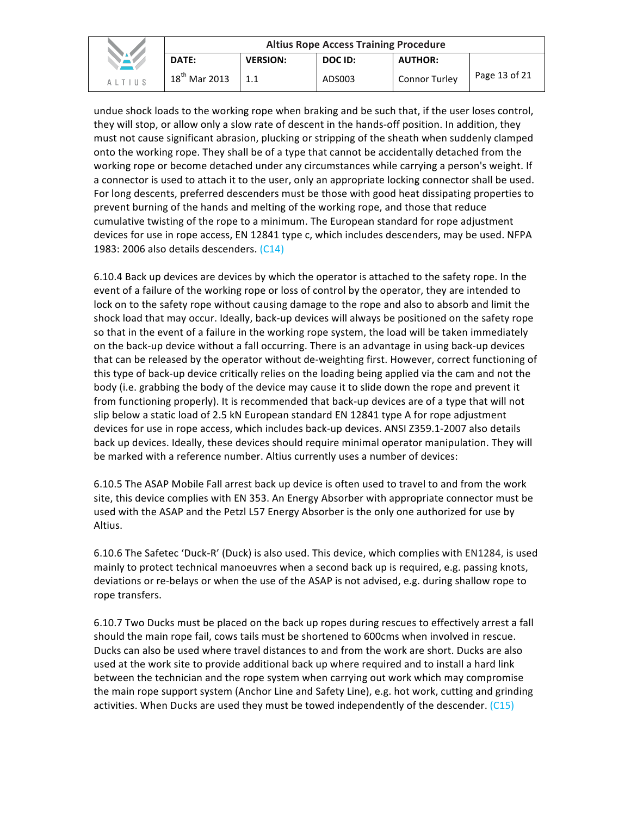|        | <b>Altius Rope Access Training Procedure</b> |                 |         |                      |               |  |  |
|--------|----------------------------------------------|-----------------|---------|----------------------|---------------|--|--|
| NA K   | DATE:                                        | <b>VERSION:</b> | DOC ID: | <b>AUTHOR:</b>       |               |  |  |
| ALTIUS | $18^{th}$ Mar 2013                           | 1.1             | ADS003  | <b>Connor Turley</b> | Page 13 of 21 |  |  |

undue shock loads to the working rope when braking and be such that, if the user loses control, they will stop, or allow only a slow rate of descent in the hands-off position. In addition, they must not cause significant abrasion, plucking or stripping of the sheath when suddenly clamped onto the working rope. They shall be of a type that cannot be accidentally detached from the working rope or become detached under any circumstances while carrying a person's weight. If a connector is used to attach it to the user, only an appropriate locking connector shall be used. For long descents, preferred descenders must be those with good heat dissipating properties to prevent burning of the hands and melting of the working rope, and those that reduce cumulative twisting of the rope to a minimum. The European standard for rope adjustment devices for use in rope access, EN 12841 type c, which includes descenders, may be used. NFPA 1983: 2006 also details descenders. (C14)

6.10.4 Back up devices are devices by which the operator is attached to the safety rope. In the event of a failure of the working rope or loss of control by the operator, they are intended to lock on to the safety rope without causing damage to the rope and also to absorb and limit the shock load that may occur. Ideally, back-up devices will always be positioned on the safety rope so that in the event of a failure in the working rope system, the load will be taken immediately on the back-up device without a fall occurring. There is an advantage in using back-up devices that can be released by the operator without de-weighting first. However, correct functioning of this type of back-up device critically relies on the loading being applied via the cam and not the body (i.e. grabbing the body of the device may cause it to slide down the rope and prevent it from functioning properly). It is recommended that back-up devices are of a type that will not slip below a static load of 2.5 kN European standard EN 12841 type A for rope adjustment devices for use in rope access, which includes back-up devices. ANSI Z359.1-2007 also details back up devices. Ideally, these devices should require minimal operator manipulation. They will be marked with a reference number. Altius currently uses a number of devices:

6.10.5 The ASAP Mobile Fall arrest back up device is often used to travel to and from the work site, this device complies with EN 353. An Energy Absorber with appropriate connector must be used with the ASAP and the Petzl L57 Energy Absorber is the only one authorized for use by Altius.

6.10.6 The Safetec 'Duck-R' (Duck) is also used. This device, which complies with EN1284, is used mainly to protect technical manoeuvres when a second back up is required, e.g. passing knots, deviations or re-belays or when the use of the ASAP is not advised, e.g. during shallow rope to rope transfers.

6.10.7 Two Ducks must be placed on the back up ropes during rescues to effectively arrest a fall should the main rope fail, cows tails must be shortened to 600cms when involved in rescue. Ducks can also be used where travel distances to and from the work are short. Ducks are also used at the work site to provide additional back up where required and to install a hard link between the technician and the rope system when carrying out work which may compromise the main rope support system (Anchor Line and Safety Line), e.g. hot work, cutting and grinding activities. When Ducks are used they must be towed independently of the descender.  $(C15)$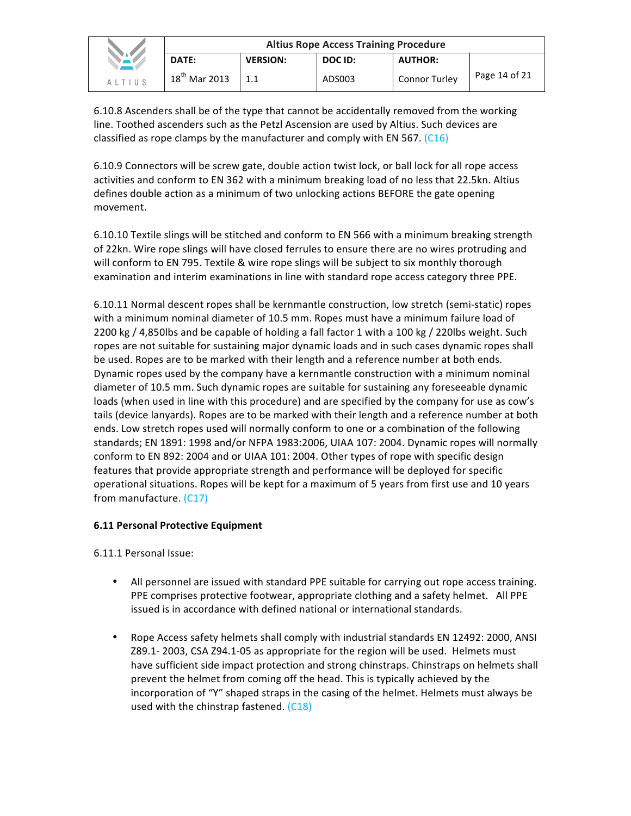|               | <b>Altius Rope Access Training Procedure</b> |                 |         |                      |               |
|---------------|----------------------------------------------|-----------------|---------|----------------------|---------------|
| <b>NAV</b>    | DATE:                                        | <b>VERSION:</b> | DOC ID: | <b>AUTHOR:</b>       |               |
| <b>ALTIUS</b> | $18^{th}$ Mar 2013                           |                 | ADS003  | <b>Connor Turley</b> | Page 14 of 21 |

6.10.8 Ascenders shall be of the type that cannot be accidentally removed from the working line. Toothed ascenders such as the Petzl Ascension are used by Altius. Such devices are classified as rope clamps by the manufacturer and comply with EN 567.  $(C16)$ 

6.10.9 Connectors will be screw gate, double action twist lock, or ball lock for all rope access activities and conform to EN 362 with a minimum breaking load of no less that 22.5kn. Altius defines double action as a minimum of two unlocking actions BEFORE the gate opening movement.

6.10.10 Textile slings will be stitched and conform to EN 566 with a minimum breaking strength of 22kn. Wire rope slings will have closed ferrules to ensure there are no wires protruding and will conform to EN 795. Textile & wire rope slings will be subject to six monthly thorough examination and interim examinations in line with standard rope access category three PPE.

6.10.11 Normal descent ropes shall be kernmantle construction, low stretch (semi-static) ropes with a minimum nominal diameter of 10.5 mm. Ropes must have a minimum failure load of 2200 kg / 4,850lbs and be capable of holding a fall factor 1 with a 100 kg / 220lbs weight. Such ropes are not suitable for sustaining major dynamic loads and in such cases dynamic ropes shall be used. Ropes are to be marked with their length and a reference number at both ends. Dynamic ropes used by the company have a kernmantle construction with a minimum nominal diameter of 10.5 mm. Such dynamic ropes are suitable for sustaining any foreseeable dynamic loads (when used in line with this procedure) and are specified by the company for use as cow's tails (device lanyards). Ropes are to be marked with their length and a reference number at both ends. Low stretch ropes used will normally conform to one or a combination of the following standards; EN 1891: 1998 and/or NFPA 1983:2006, UIAA 107: 2004. Dynamic ropes will normally conform to EN 892: 2004 and or UIAA 101: 2004. Other types of rope with specific design features that provide appropriate strength and performance will be deployed for specific operational situations. Ropes will be kept for a maximum of 5 years from first use and 10 years from manufacture. (C17)

#### **6.11 Personal Protective Equipment**

6.11.1 Personal Issue:

- All personnel are issued with standard PPE suitable for carrying out rope access training. PPE comprises protective footwear, appropriate clothing and a safety helmet. All PPE issued is in accordance with defined national or international standards.
- Rope Access safety helmets shall comply with industrial standards EN 12492: 2000, ANSI Z89.1- 2003, CSA Z94.1-05 as appropriate for the region will be used. Helmets must have sufficient side impact protection and strong chinstraps. Chinstraps on helmets shall prevent the helmet from coming off the head. This is typically achieved by the incorporation of "Y" shaped straps in the casing of the helmet. Helmets must always be used with the chinstrap fastened.  $(C18)$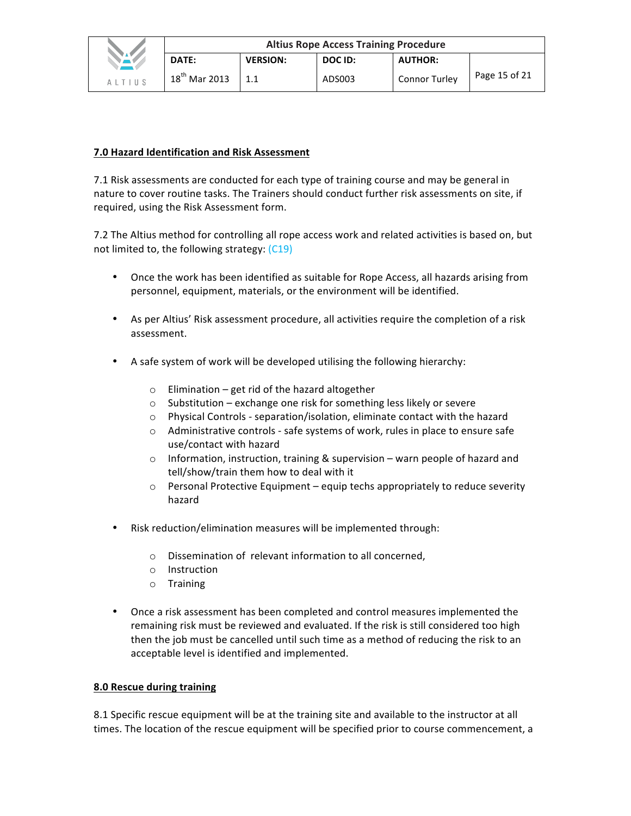#### **7.0 Hazard Identification and Risk Assessment**

7.1 Risk assessments are conducted for each type of training course and may be general in nature to cover routine tasks. The Trainers should conduct further risk assessments on site, if required, using the Risk Assessment form.

7.2 The Altius method for controlling all rope access work and related activities is based on, but not limited to, the following strategy:  $(C19)$ 

- Once the work has been identified as suitable for Rope Access, all hazards arising from personnel, equipment, materials, or the environment will be identified.
- As per Altius' Risk assessment procedure, all activities require the completion of a risk assessment.
- A safe system of work will be developed utilising the following hierarchy:
	- $\circ$  Elimination get rid of the hazard altogether
	- $\circ$  Substitution exchange one risk for something less likely or severe
	- $\circ$  Physical Controls separation/isolation, eliminate contact with the hazard
	- $\circ$  Administrative controls safe systems of work, rules in place to ensure safe use/contact with hazard
	- $\circ$  Information, instruction, training & supervision warn people of hazard and tell/show/train them how to deal with it
	- $\circ$  Personal Protective Equipment equip techs appropriately to reduce severity hazard
- Risk reduction/elimination measures will be implemented through:
	- o Dissemination of relevant information to all concerned,
	- o Instruction
	- o Training
- Once a risk assessment has been completed and control measures implemented the remaining risk must be reviewed and evaluated. If the risk is still considered too high then the job must be cancelled until such time as a method of reducing the risk to an acceptable level is identified and implemented.

#### **8.0 Rescue during training**

8.1 Specific rescue equipment will be at the training site and available to the instructor at all times. The location of the rescue equipment will be specified prior to course commencement, a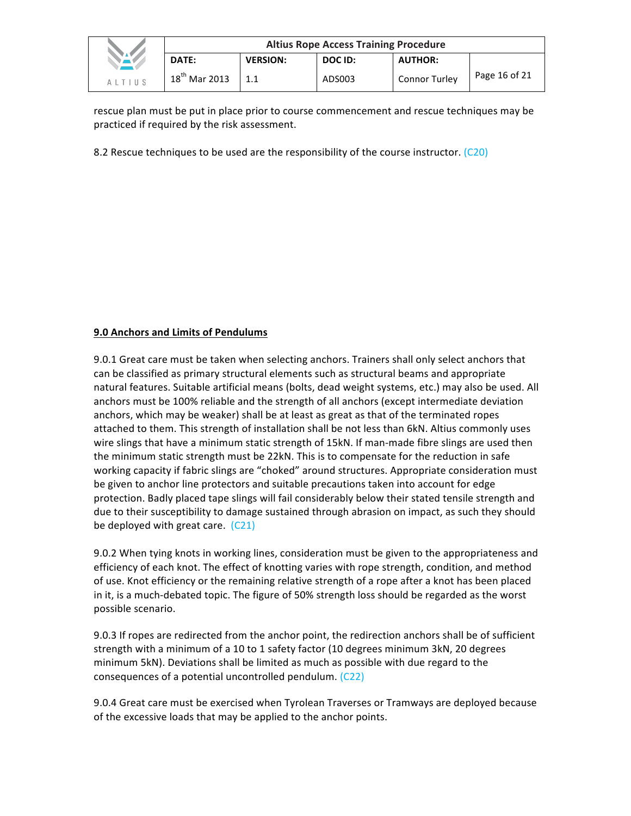|               | <b>Altius Rope Access Training Procedure</b> |                 |         |                |               |
|---------------|----------------------------------------------|-----------------|---------|----------------|---------------|
|               | DATE:                                        | <b>VERSION:</b> | DOC ID: | <b>AUTHOR:</b> |               |
| <b>ALTIUS</b> | $18^{th}$ Mar 2013                           |                 | ADS003  | Connor Turley  | Page 16 of 21 |

rescue plan must be put in place prior to course commencement and rescue techniques may be practiced if required by the risk assessment.

8.2 Rescue techniques to be used are the responsibility of the course instructor.  $(C20)$ 

#### **9.0 Anchors and Limits of Pendulums**

9.0.1 Great care must be taken when selecting anchors. Trainers shall only select anchors that can be classified as primary structural elements such as structural beams and appropriate natural features. Suitable artificial means (bolts, dead weight systems, etc.) may also be used. All anchors must be 100% reliable and the strength of all anchors (except intermediate deviation anchors, which may be weaker) shall be at least as great as that of the terminated ropes attached to them. This strength of installation shall be not less than 6kN. Altius commonly uses wire slings that have a minimum static strength of 15kN. If man-made fibre slings are used then the minimum static strength must be 22kN. This is to compensate for the reduction in safe working capacity if fabric slings are "choked" around structures. Appropriate consideration must be given to anchor line protectors and suitable precautions taken into account for edge protection. Badly placed tape slings will fail considerably below their stated tensile strength and due to their susceptibility to damage sustained through abrasion on impact, as such they should be deployed with great care.  $(C21)$ 

9.0.2 When tying knots in working lines, consideration must be given to the appropriateness and efficiency of each knot. The effect of knotting varies with rope strength, condition, and method of use. Knot efficiency or the remaining relative strength of a rope after a knot has been placed in it, is a much-debated topic. The figure of 50% strength loss should be regarded as the worst possible scenario.

9.0.3 If ropes are redirected from the anchor point, the redirection anchors shall be of sufficient strength with a minimum of a 10 to 1 safety factor (10 degrees minimum 3kN, 20 degrees minimum 5kN). Deviations shall be limited as much as possible with due regard to the consequences of a potential uncontrolled pendulum.  $(C22)$ 

9.0.4 Great care must be exercised when Tyrolean Traverses or Tramways are deployed because of the excessive loads that may be applied to the anchor points.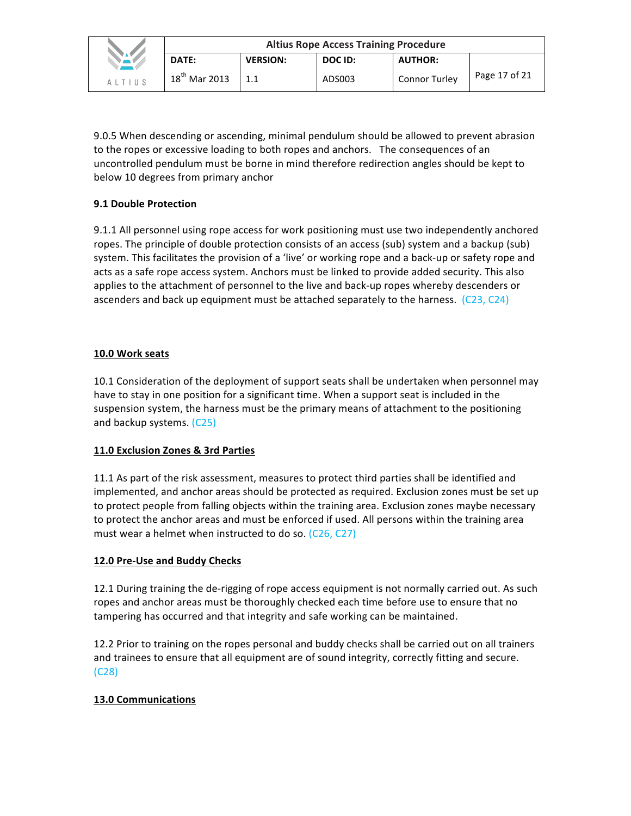|               | <b>Altius Rope Access Training Procedure</b> |                 |         |                      |               |
|---------------|----------------------------------------------|-----------------|---------|----------------------|---------------|
| NAV           | <b>DATE:</b>                                 | <b>VERSION:</b> | DOC ID: | <b>AUTHOR:</b>       |               |
| <b>ALTIUS</b> | $18^{\text{th}}$ Mar 2013                    |                 | ADS003  | <b>Connor Turley</b> | Page 17 of 21 |

9.0.5 When descending or ascending, minimal pendulum should be allowed to prevent abrasion to the ropes or excessive loading to both ropes and anchors. The consequences of an uncontrolled pendulum must be borne in mind therefore redirection angles should be kept to below 10 degrees from primary anchor

## **9.1 Double Protection**

9.1.1 All personnel using rope access for work positioning must use two independently anchored ropes. The principle of double protection consists of an access (sub) system and a backup (sub) system. This facilitates the provision of a 'live' or working rope and a back-up or safety rope and acts as a safe rope access system. Anchors must be linked to provide added security. This also applies to the attachment of personnel to the live and back-up ropes whereby descenders or ascenders and back up equipment must be attached separately to the harness.  $(C23, C24)$ 

## **10.0 Work seats**

10.1 Consideration of the deployment of support seats shall be undertaken when personnel may have to stay in one position for a significant time. When a support seat is included in the suspension system, the harness must be the primary means of attachment to the positioning and backup systems. (C25)

## **11.0 Exclusion Zones & 3rd Parties**

11.1 As part of the risk assessment, measures to protect third parties shall be identified and implemented, and anchor areas should be protected as required. Exclusion zones must be set up to protect people from falling objects within the training area. Exclusion zones maybe necessary to protect the anchor areas and must be enforced if used. All persons within the training area must wear a helmet when instructed to do so.  $(C26, C27)$ 

## 12.0 Pre-Use and Buddy Checks

12.1 During training the de-rigging of rope access equipment is not normally carried out. As such ropes and anchor areas must be thoroughly checked each time before use to ensure that no tampering has occurred and that integrity and safe working can be maintained.

12.2 Prior to training on the ropes personal and buddy checks shall be carried out on all trainers and trainees to ensure that all equipment are of sound integrity, correctly fitting and secure. (C28)

## **13.0 Communications**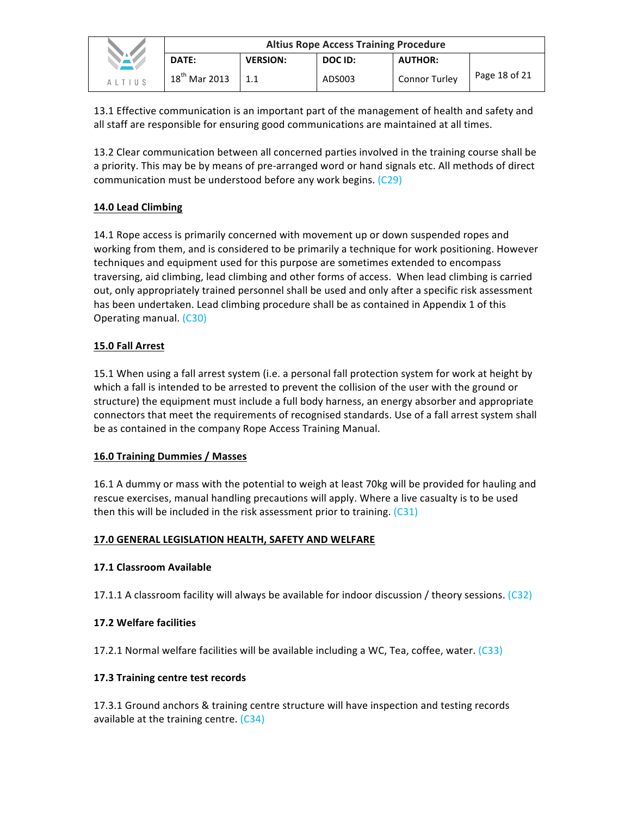|               | <b>Altius Rope Access Training Procedure</b> |                 |         |                      |               |
|---------------|----------------------------------------------|-----------------|---------|----------------------|---------------|
| NAV.          | DATE:                                        | <b>VERSION:</b> | DOC ID: | <b>AUTHOR:</b>       |               |
| <b>ALTIUS</b> | $18^{th}$ Mar 2013                           | 1.1             | ADS003  | <b>Connor Turley</b> | Page 18 of 21 |

13.1 Effective communication is an important part of the management of health and safety and all staff are responsible for ensuring good communications are maintained at all times.

13.2 Clear communication between all concerned parties involved in the training course shall be a priority. This may be by means of pre-arranged word or hand signals etc. All methods of direct communication must be understood before any work begins. (C29)

# **14.0 Lead Climbing**

14.1 Rope access is primarily concerned with movement up or down suspended ropes and working from them, and is considered to be primarily a technique for work positioning. However techniques and equipment used for this purpose are sometimes extended to encompass traversing, aid climbing, lead climbing and other forms of access. When lead climbing is carried out, only appropriately trained personnel shall be used and only after a specific risk assessment has been undertaken. Lead climbing procedure shall be as contained in Appendix 1 of this Operating manual. (C30)

## **15.0 Fall Arrest**

15.1 When using a fall arrest system (i.e. a personal fall protection system for work at height by which a fall is intended to be arrested to prevent the collision of the user with the ground or structure) the equipment must include a full body harness, an energy absorber and appropriate connectors that meet the requirements of recognised standards. Use of a fall arrest system shall be as contained in the company Rope Access Training Manual.

## **16.0 Training Dummies / Masses**

16.1 A dummy or mass with the potential to weigh at least 70kg will be provided for hauling and rescue exercises, manual handling precautions will apply. Where a live casualty is to be used then this will be included in the risk assessment prior to training.  $(C31)$ 

## **17.0 GENERAL LEGISLATION HEALTH, SAFETY AND WELFARE**

## **17.1 Classroom Available**

17.1.1 A classroom facility will always be available for indoor discussion / theory sessions.  $(C32)$ 

## **17.2 Welfare facilities**

17.2.1 Normal welfare facilities will be available including a WC, Tea, coffee, water.  $(C33)$ 

## **17.3 Training centre test records**

17.3.1 Ground anchors & training centre structure will have inspection and testing records available at the training centre.  $(C34)$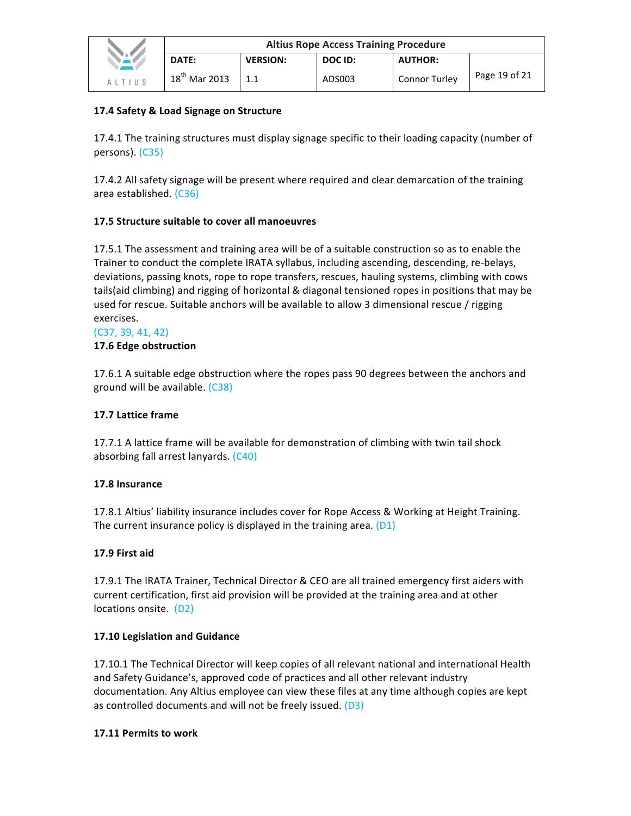|             | <b>Altius Rope Access Training Procedure</b> |                 |         |                      |               |
|-------------|----------------------------------------------|-----------------|---------|----------------------|---------------|
| <b>NAME</b> | DATE:                                        | <b>VERSION:</b> | DOC ID: | <b>AUTHOR:</b>       |               |
| ALTIUS      | $18th$ Mar 2013                              |                 | ADS003  | <b>Connor Turley</b> | Page 19 of 21 |

## **17.4 Safety & Load Signage on Structure**

17.4.1 The training structures must display signage specific to their loading capacity (number of persons). (C35)

17.4.2 All safety signage will be present where required and clear demarcation of the training area established. (C36)

## **17.5 Structure suitable to cover all manoeuvres**

17.5.1 The assessment and training area will be of a suitable construction so as to enable the Trainer to conduct the complete IRATA syllabus, including ascending, descending, re-belays, deviations, passing knots, rope to rope transfers, rescues, hauling systems, climbing with cows tails(aid climbing) and rigging of horizontal & diagonal tensioned ropes in positions that may be used for rescue. Suitable anchors will be available to allow 3 dimensional rescue / rigging exercises. 

#### $(C37, 39, 41, 42)$

#### **17.6 Edge obstruction**

17.6.1 A suitable edge obstruction where the ropes pass 90 degrees between the anchors and ground will be available. (C38)

## **17.7 Lattice frame**

17.7.1 A lattice frame will be available for demonstration of climbing with twin tail shock absorbing fall arrest lanyards. (C40)

#### **17.8 Insurance**

17.8.1 Altius' liability insurance includes cover for Rope Access & Working at Height Training. The current insurance policy is displayed in the training area.  $(D1)$ 

## **17.9 First aid**

17.9.1 The IRATA Trainer, Technical Director & CEO are all trained emergency first aiders with current certification, first aid provision will be provided at the training area and at other locations onsite. (D2)

#### **17.10 Legislation and Guidance**

17.10.1 The Technical Director will keep copies of all relevant national and international Health and Safety Guidance's, approved code of practices and all other relevant industry documentation. Any Altius employee can view these files at any time although copies are kept as controlled documents and will not be freely issued.  $(D3)$ 

#### **17.11 Permits to work**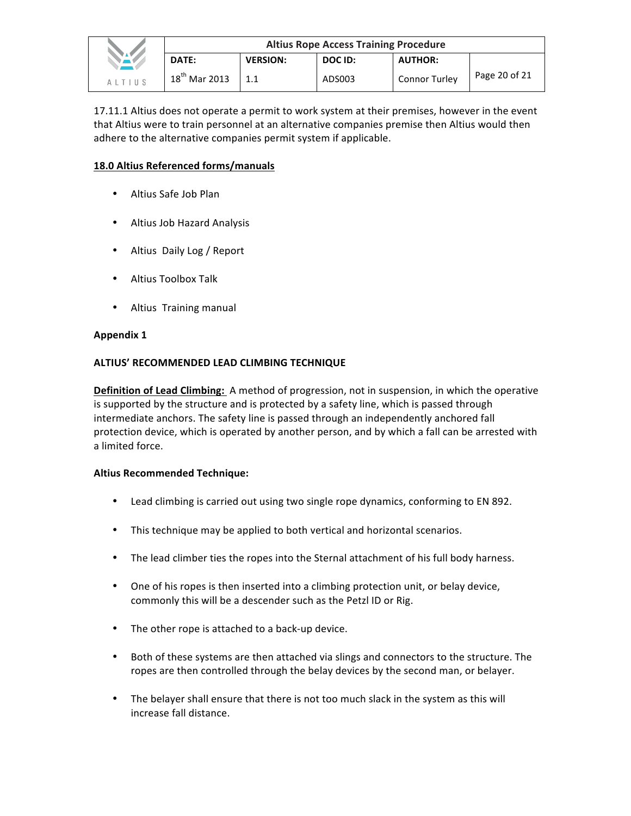|        | <b>Altius Rope Access Training Procedure</b> |                 |         |                      |               |
|--------|----------------------------------------------|-----------------|---------|----------------------|---------------|
|        | DATE:                                        | <b>VERSION:</b> | DOC ID: | <b>AUTHOR:</b>       |               |
| AITIIS | $18^{th}$ Mar 2013                           |                 | ADS003  | <b>Connor Turley</b> | Page 20 of 21 |

17.11.1 Altius does not operate a permit to work system at their premises, however in the event that Altius were to train personnel at an alternative companies premise then Altius would then adhere to the alternative companies permit system if applicable.

#### **18.0 Altius Referenced forms/manuals**

- Altius Safe Job Plan
- Altius Job Hazard Analysis
- Altius Daily Log / Report
- Altius Toolbox Talk
- Altius Training manual

#### **Appendix 1**

#### **ALTIUS' RECOMMENDED LEAD CLIMBING TECHNIQUE**

**Definition of Lead Climbing:** A method of progression, not in suspension, in which the operative is supported by the structure and is protected by a safety line, which is passed through intermediate anchors. The safety line is passed through an independently anchored fall protection device, which is operated by another person, and by which a fall can be arrested with a limited force.

#### **Altius Recommended Technique:**

- Lead climbing is carried out using two single rope dynamics, conforming to EN 892.
- This technique may be applied to both vertical and horizontal scenarios.
- The lead climber ties the ropes into the Sternal attachment of his full body harness.
- One of his ropes is then inserted into a climbing protection unit, or belay device, commonly this will be a descender such as the Petzl ID or Rig.
- The other rope is attached to a back-up device.
- Both of these systems are then attached via slings and connectors to the structure. The ropes are then controlled through the belay devices by the second man, or belayer.
- The belayer shall ensure that there is not too much slack in the system as this will increase fall distance.